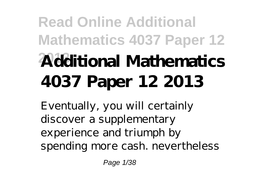## **Read Online Additional Mathematics 4037 Paper 12 2013 Additional Mathematics 4037 Paper 12 2013**

Eventually, you will certainly discover a supplementary experience and triumph by spending more cash. nevertheless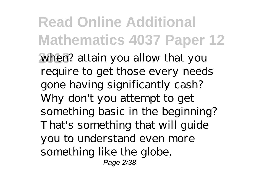**Read Online Additional Mathematics 4037 Paper 12 2013** when? attain you allow that you require to get those every needs gone having significantly cash? Why don't you attempt to get something basic in the beginning? That's something that will guide you to understand even more something like the globe, Page 2/38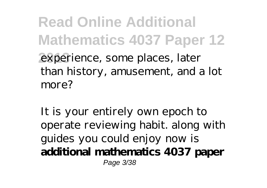**Read Online Additional Mathematics 4037 Paper 12 2013** experience, some places, later than history, amusement, and a lot more?

It is your entirely own epoch to operate reviewing habit. along with guides you could enjoy now is **additional mathematics 4037 paper** Page 3/38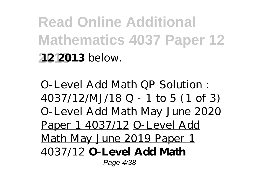**Read Online Additional Mathematics 4037 Paper 12 2013 12 2013** below.

O-Level Add Math QP Solution : 4037/12/MJ/18 Q - 1 to 5 (1 of 3) O-Level Add Math May June 2020 Paper 1 4037/12 O-Level Add Math May June 2019 Paper 1 4037/12 **O-Level Add Math** Page 4/38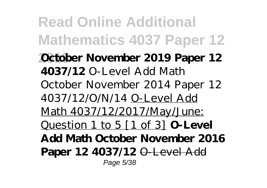**Read Online Additional Mathematics 4037 Paper 12 2013 October November 2019 Paper 12 4037/12** *O-Level Add Math October November 2014 Paper 12 4037/12/O/N/14* O-Level Add Math 4037/12/2017/May/June: Question 1 to 5 [1 of 3] **O-Level Add Math October November 2016 Paper 12 4037/12** O-Level Add Page 5/38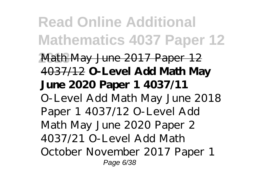**Read Online Additional Mathematics 4037 Paper 12 2013** Math May June 2017 Paper 12 4037/12 **O-Level Add Math May June 2020 Paper 1 4037/11** *O-Level Add Math May June 2018 Paper 1 4037/12 O-Level Add Math May June 2020 Paper 2 4037/21 O-Level Add Math October November 2017 Paper 1* Page 6/38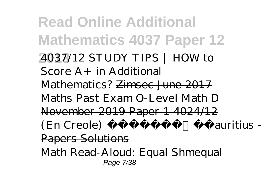**Read Online Additional Mathematics 4037 Paper 12 2013** *4037/12 STUDY TIPS | HOW to Score A+ in Additional Mathematics?* Zimsec June 2017 Maths Past Exam O-Level Math D November 2019 Paper 1 4024/12 (En Creole) Mauritius - Past Papers Solutions

Math Read-Aloud: Equal Shmequal Page 7/38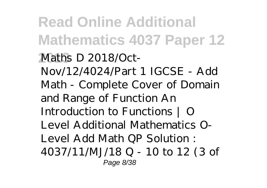**Read Online Additional Mathematics 4037 Paper 12 2013** *Maths D 2018/Oct-Nov/12/4024/Part 1 IGCSE - Add Math - Complete Cover of Domain and Range of Function* An Introduction to Functions | O Level Additional Mathematics O-Level Add Math QP Solution : 4037/11/MJ/18 Q - 10 to 12 (3 of Page 8/38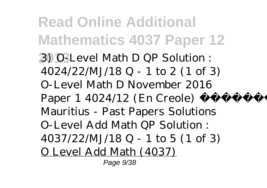**Read Online Additional Mathematics 4037 Paper 12 2013** 3) O-Level Math D QP Solution : 4024/22/MJ/18 Q - 1 to 2 (1 of 3) *O-Level Math D November 2016 Paper 1 4024/12 (En Creole) Mauritius - Past Papers Solutions* O-Level Add Math QP Solution : 4037/22/MJ/18 Q - 1 to 5 (1 of 3) O Level Add Math (4037) Page 9/38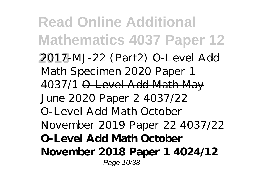**Read Online Additional Mathematics 4037 Paper 12 2013** 2017-MJ-22 (Part2) O-Level Add Math Specimen 2020 Paper 1 4037/1 O-Level Add Math May June 2020 Paper 2 4037/22 *O-Level Add Math October November 2019 Paper 22 4037/22* **O-Level Add Math October November 2018 Paper 1 4024/12** Page 10/38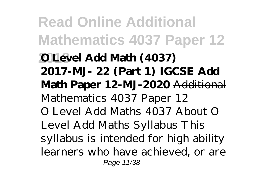**Read Online Additional Mathematics 4037 Paper 12 2013 O Level Add Math (4037) 2017-MJ- 22 (Part 1) IGCSE Add Math Paper 12-MJ-2020** Additional Mathematics 4037 Paper 12 O Level Add Maths 4037 About O Level Add Maths Syllabus This syllabus is intended for high ability learners who have achieved, or are Page 11/38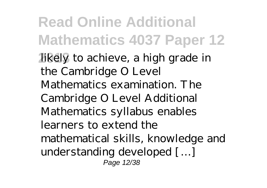**Read Online Additional Mathematics 4037 Paper 12 2013** likely to achieve, a high grade in the Cambridge O Level Mathematics examination. The Cambridge O Level Additional Mathematics syllabus enables learners to extend the mathematical skills, knowledge and understanding developed […] Page 12/38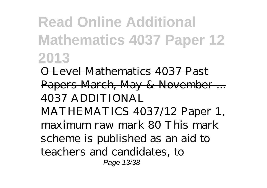**Read Online Additional Mathematics 4037 Paper 12 2013**

O Level Mathematics 4037 Past Papers March, May & November ... 4037 ADDITIONAL MATHEMATICS 4037/12 Paper 1, maximum raw mark 80 This mark scheme is published as an aid to teachers and candidates, to Page 13/38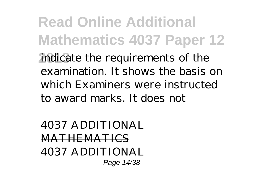**Read Online Additional Mathematics 4037 Paper 12 2013** indicate the requirements of the examination. It shows the basis on which Examiners were instructed to award marks. It does not

4037 ADDITIONAL **MATHEMATICS** 4037 ADDITIONAL Page 14/38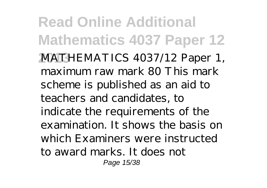**Read Online Additional Mathematics 4037 Paper 12 2013** MATHEMATICS 4037/12 Paper 1, maximum raw mark 80 This mark scheme is published as an aid to teachers and candidates, to indicate the requirements of the examination. It shows the basis on which Examiners were instructed to award marks. It does not Page 15/38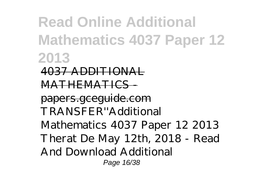**Read Online Additional Mathematics 4037 Paper 12 2013** 4037 ADDITIONAL MATHEMATICS papers.gceguide.com TRANSFER''Additional Mathematics 4037 Paper 12 2013 Therat De May 12th, 2018 - Read And Download Additional Page 16/38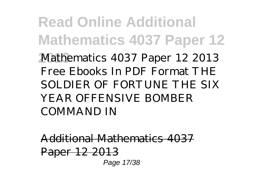**Read Online Additional Mathematics 4037 Paper 12 2013** Mathematics 4037 Paper 12 2013 Free Ebooks In PDF Format THE SOLDIER OF FORTUNE THE SIX YEAR OFFENSIVE BOMBER COMMAND IN

Additional Mathematics 4037 Paper 12 2013 Page 17/38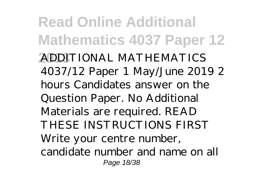**Read Online Additional Mathematics 4037 Paper 12 2013** ADDITIONAL MATHEMATICS 4037/12 Paper 1 May/June 2019 2 hours Candidates answer on the Question Paper. No Additional Materials are required. READ THESE INSTRUCTIONS FIRST Write your centre number, candidate number and name on all Page 18/38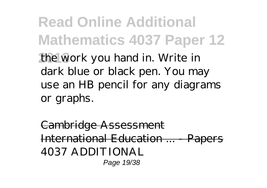**Read Online Additional Mathematics 4037 Paper 12 2013** the work you hand in. Write in dark blue or black pen. You may use an HB pencil for any diagrams or graphs.

Cambridge Assessment International Education ... 4037 ADDITIONAL Page 19/38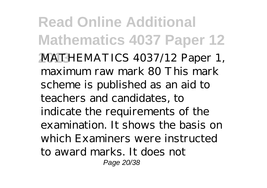**Read Online Additional Mathematics 4037 Paper 12 2013** MATHEMATICS 4037/12 Paper 1, maximum raw mark 80 This mark scheme is published as an aid to teachers and candidates, to indicate the requirements of the examination. It shows the basis on which Examiners were instructed to award marks. It does not Page 20/38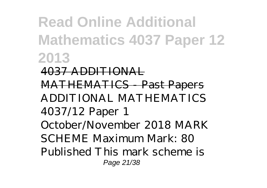## **Read Online Additional Mathematics 4037 Paper 12 2013**

4037 ADDITIONAL MATHEMATICS - Past Papers ADDITIONAL MATHEMATICS 4037/12 Paper 1 October/November 2018 MARK SCHEME Maximum Mark: 80 Published This mark scheme is Page 21/38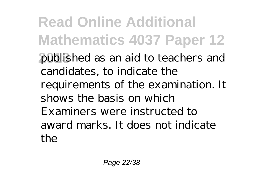**Read Online Additional Mathematics 4037 Paper 12 2013** published as an aid to teachers and candidates, to indicate the requirements of the examination. It shows the basis on which Examiners were instructed to award marks. It does not indicate the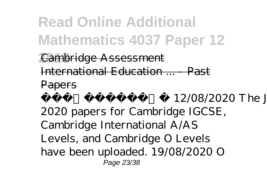**Read Online Additional Mathematics 4037 Paper 12**

*<u>Cambridge Assessment</u>* International Education ... - Past

**Papers** 

 Update: 12/08/2020 The June 2020 papers for Cambridge IGCSE, Cambridge International A/AS Levels, and Cambridge O Levels have been uploaded. 19/08/2020 O Page 23/38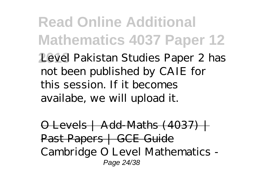**Read Online Additional Mathematics 4037 Paper 12 2013** Level Pakistan Studies Paper 2 has not been published by CAIE for this session. If it becomes availabe, we will upload it.

 $\Theta$  Levels | Add-Maths (4037) + Past Papers | GCE Guide Cambridge O Level Mathematics - Page 24/38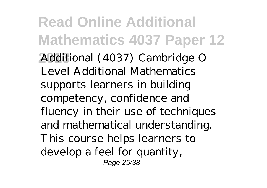**Read Online Additional Mathematics 4037 Paper 12 2013** Additional (4037) Cambridge O Level Additional Mathematics supports learners in building competency, confidence and fluency in their use of techniques and mathematical understanding. This course helps learners to develop a feel for quantity, Page 25/38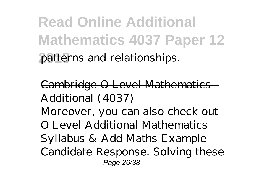**Read Online Additional Mathematics 4037 Paper 12 2013** patterns and relationships.

Cambridge O Level Mathematics - Additional (4037)

Moreover, you can also check out O Level Additional Mathematics Syllabus & Add Maths Example Candidate Response. Solving these Page 26/38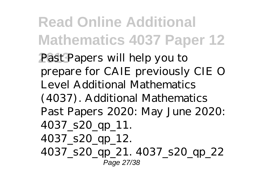**Read Online Additional Mathematics 4037 Paper 12** Past Papers will help you to prepare for CAIE previously CIE O Level Additional Mathematics (4037). Additional Mathematics Past Papers 2020: May June 2020: 4037\_s20\_qp\_11. 4037\_s20\_qp\_12. 4037\_s20\_qp\_21. 4037\_s20\_qp\_22 Page 27/38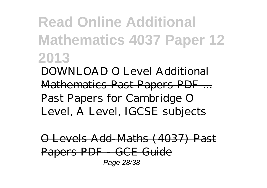## **Read Online Additional Mathematics 4037 Paper 12 2013**

DOWNLOAD O Level Additional Mathematics Past Papers PDF ... Past Papers for Cambridge O Level, A Level, IGCSE subjects

O Levels Add-Maths (4037) Past Papers PDF - GCE Guide Page 28/38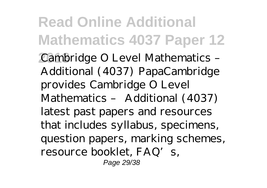**Read Online Additional Mathematics 4037 Paper 12 2013** Cambridge O Level Mathematics – Additional (4037) PapaCambridge provides Cambridge O Level Mathematics – Additional (4037) latest past papers and resources that includes syllabus, specimens, question papers, marking schemes, resource booklet, FAQ's, Page 29/38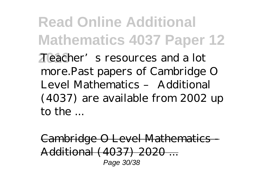**Read Online Additional Mathematics 4037 Paper 12 2013** Teacher's resources and a lot more.Past papers of Cambridge O Level Mathematics – Additional (4037) are available from 2002 up to the ...

Cambridge O Level Mathematics - Additional (4037) 2020 ... Page 30/38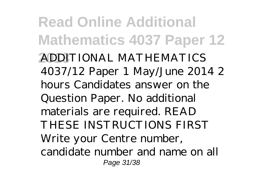**Read Online Additional Mathematics 4037 Paper 12 2013** ADDITIONAL MATHEMATICS 4037/12 Paper 1 May/June 2014 2 hours Candidates answer on the Question Paper. No additional materials are required. READ THESE INSTRUCTIONS FIRST Write your Centre number, candidate number and name on all Page 31/38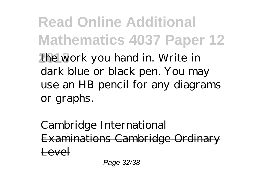**Read Online Additional Mathematics 4037 Paper 12 2013** the work you hand in. Write in dark blue or black pen. You may use an HB pencil for any diagrams or graphs.

Cambridge International Examinations Cambridge Ordinary Level

Page 32/38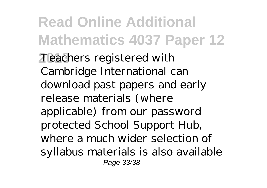**Read Online Additional Mathematics 4037 Paper 12 2013** Teachers registered with Cambridge International can download past papers and early release materials (where applicable) from our password protected School Support Hub, where a much wider selection of syllabus materials is also available Page 33/38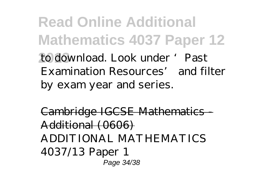**Read Online Additional Mathematics 4037 Paper 12 2013** to download. Look under 'Past Examination Resources' and filter by exam year and series.

Cambridge IGCSE Mathematics - Additional (0606) ADDITIONAL MATHEMATICS 4037/13 Paper 1 Page 34/38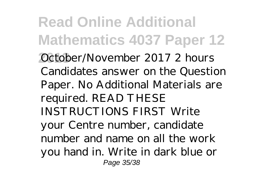**Read Online Additional Mathematics 4037 Paper 12 2013** October/November 2017 2 hours Candidates answer on the Question Paper. No Additional Materials are required. READ THESE INSTRUCTIONS FIRST Write your Centre number, candidate number and name on all the work you hand in. Write in dark blue or Page 35/38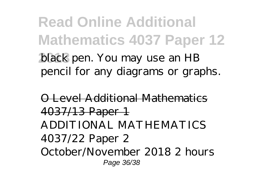**Read Online Additional Mathematics 4037 Paper 12 2013** black pen. You may use an HB pencil for any diagrams or graphs.

O Level Additional Mathemat 4037/13 Paper 1 ADDITIONAL MATHEMATICS 4037/22 Paper 2 October/November 2018 2 hours Page 36/38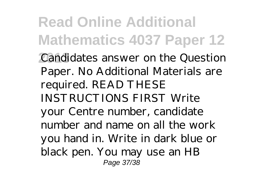**Read Online Additional Mathematics 4037 Paper 12 2013** Candidates answer on the Question Paper. No Additional Materials are required. READ THESE INSTRUCTIONS FIRST Write your Centre number, candidate number and name on all the work you hand in. Write in dark blue or black pen. You may use an HB Page 37/38